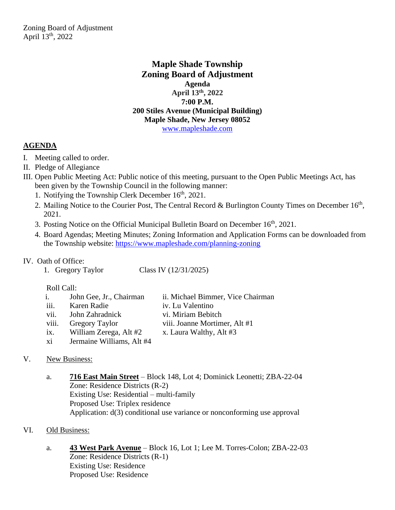**Maple Shade Township Zoning Board of Adjustment Agenda April 13th, 2022 7:00 P.M. 200 Stiles Avenue (Municipal Building) Maple Shade, New Jersey 08052** [www.mapleshade.com](http://www.mapleshade.com/)

# **AGENDA**

- I. Meeting called to order.
- II. Pledge of Allegiance
- III. Open Public Meeting Act: Public notice of this meeting, pursuant to the Open Public Meetings Act, has been given by the Township Council in the following manner:
	- 1. Notifying the Township Clerk December 16<sup>th</sup>, 2021.
	- 2. Mailing Notice to the Courier Post, The Central Record & Burlington County Times on December 16<sup>th</sup>, 2021.
	- 3. Posting Notice on the Official Municipal Bulletin Board on December 16<sup>th</sup>, 2021.
	- 4. Board Agendas; Meeting Minutes; Zoning Information and Application Forms can be downloaded from the Township website:<https://www.mapleshade.com/planning-zoning>

## IV. Oath of Office:

1. Gregory Taylor Class IV (12/31/2025)

### Roll Call:

| i.    | John Gee, Jr., Chairman   | ii. Michael Bimmer, Vice Chairman |
|-------|---------------------------|-----------------------------------|
| iii.  | Karen Radie               | iv. Lu Valentino                  |
| vii.  | John Zahradnick           | vi. Miriam Bebitch                |
| viii. | <b>Gregory Taylor</b>     | viii. Joanne Mortimer, Alt #1     |
| ix.   | William Zerega, Alt #2    | x. Laura Walthy, Alt #3           |
| xi    | Jermaine Williams, Alt #4 |                                   |

## V. New Business:

a. **716 East Main Street** – Block 148, Lot 4; Dominick Leonetti; ZBA-22-04 Zone: Residence Districts (R-2) Existing Use: Residential – multi-family Proposed Use: Triplex residence Application: d(3) conditional use variance or nonconforming use approval

## VI. Old Business:

a. **43 West Park Avenue** – Block 16, Lot 1; Lee M. Torres-Colon; ZBA-22-03 Zone: Residence Districts (R-1) Existing Use: Residence Proposed Use: Residence